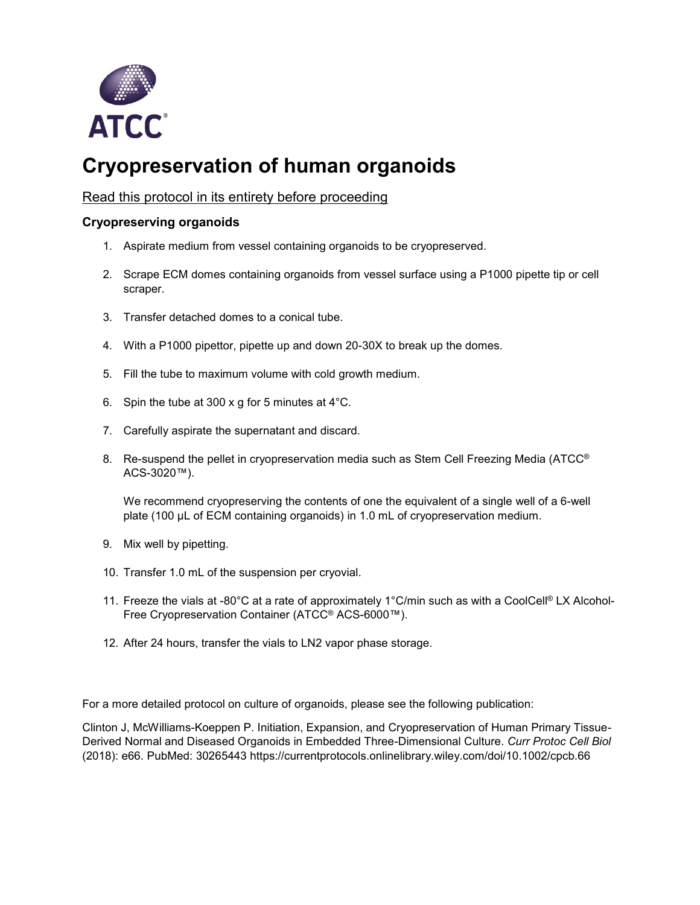

## **Cryopreservation of human organoids**

## Read this protocol in its entirety before proceeding

## **Cryopreserving organoids**

- 1. Aspirate medium from vessel containing organoids to be cryopreserved.
- 2. Scrape ECM domes containing organoids from vessel surface using a P1000 pipette tip or cell scraper.
- 3. Transfer detached domes to a conical tube.
- 4. With a P1000 pipettor, pipette up and down 20-30X to break up the domes.
- 5. Fill the tube to maximum volume with cold growth medium.
- 6. Spin the tube at 300 x g for 5 minutes at 4°C.
- 7. Carefully aspirate the supernatant and discard.
- 8. Re-suspend the pellet in cryopreservation media such as Stem Cell Freezing Media (ATCC<sup>®</sup> ACS-3020™).

We recommend cryopreserving the contents of one the equivalent of a single well of a 6-well plate (100 µL of ECM containing organoids) in 1.0 mL of cryopreservation medium.

- 9. Mix well by pipetting.
- 10. Transfer 1.0 mL of the suspension per cryovial.
- 11. Freeze the vials at -80°C at a rate of approximately 1°C/min such as with a CoolCell® LX Alcohol-Free Cryopreservation Container (ATCC® ACS-6000™).
- 12. After 24 hours, transfer the vials to LN2 vapor phase storage.

For a more detailed protocol on culture of organoids, please see the following publication:

Clinton J, McWilliams-Koeppen P. Initiation, Expansion, and Cryopreservation of Human Primary Tissue-Derived Normal and Diseased Organoids in Embedded Three-Dimensional Culture. *Curr Protoc Cell Biol* (2018): e66. PubMed: 30265443 https://currentprotocols.onlinelibrary.wiley.com/doi/10.1002/cpcb.66